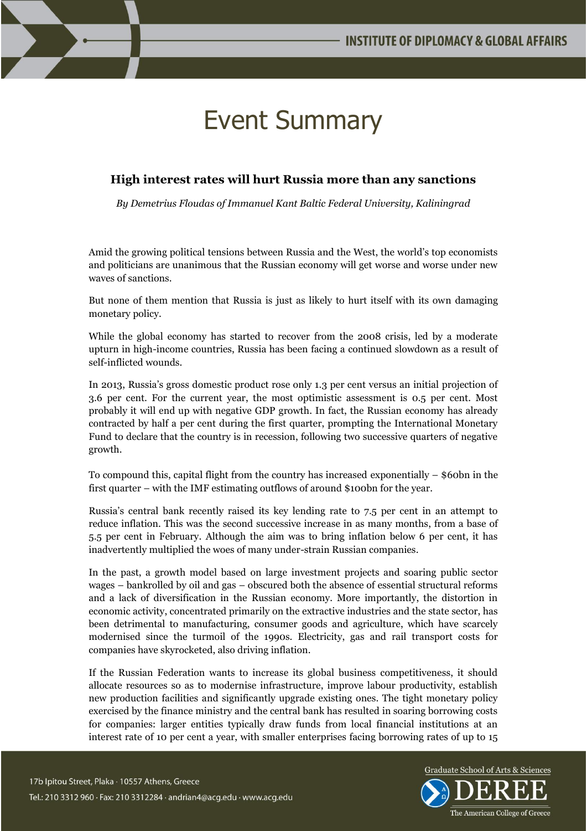

## Event Summary

## **High interest rates will hurt Russia more than any sanctions**

*By Demetrius Floudas of Immanuel Kant Baltic Federal University, Kaliningrad*

Amid the growing political tensions between Russia and the West, the world's top economists and politicians are unanimous that the Russian economy will get worse and worse under new waves of sanctions.

But none of them mention that Russia is just as likely to hurt itself with its own damaging monetary policy.

While the global economy has started to recover from the 2008 crisis, led by a moderate upturn in high-income countries, Russia has been facing a continued slowdown as a result of self-inflicted wounds.

In 2013, Russia's gross domestic product rose only 1.3 per cent versus an initial projection of 3.6 per cent. For the current year, the most optimistic assessment is 0.5 per cent. Most probably it will end up with negative GDP growth. In fact, the Russian economy has already contracted by half a per cent during the first quarter, prompting the International Monetary Fund to declare that the country is in recession, following two successive quarters of negative growth.

To compound this, capital flight from the country has increased exponentially – \$60bn in the first quarter – with the IMF estimating outflows of around \$100bn for the year.

Russia's central bank recently raised its key lending rate to 7.5 per cent in an attempt to reduce inflation. This was the second successive increase in as many months, from a base of 5.5 per cent in February. Although the aim was to bring inflation below 6 per cent, it has inadvertently multiplied the woes of many under-strain Russian companies.

In the past, a growth model based on large investment projects and soaring public sector wages – bankrolled by oil and gas – obscured both the absence of essential structural reforms and a lack of diversification in the Russian economy. More importantly, the distortion in economic activity, concentrated primarily on the extractive industries and the state sector, has been detrimental to manufacturing, consumer goods and agriculture, which have scarcely modernised since the turmoil of the 1990s. Electricity, gas and rail transport costs for companies have skyrocketed, also driving inflation.

If the Russian Federation wants to increase its global business competitiveness, it should allocate resources so as to modernise infrastructure, improve labour productivity, establish new production facilities and significantly upgrade existing ones. The tight monetary policy exercised by the finance ministry and the central bank has resulted in soaring borrowing costs for companies: larger entities typically draw funds from local financial institutions at an interest rate of 10 per cent a year, with smaller enterprises facing borrowing rates of up to 15

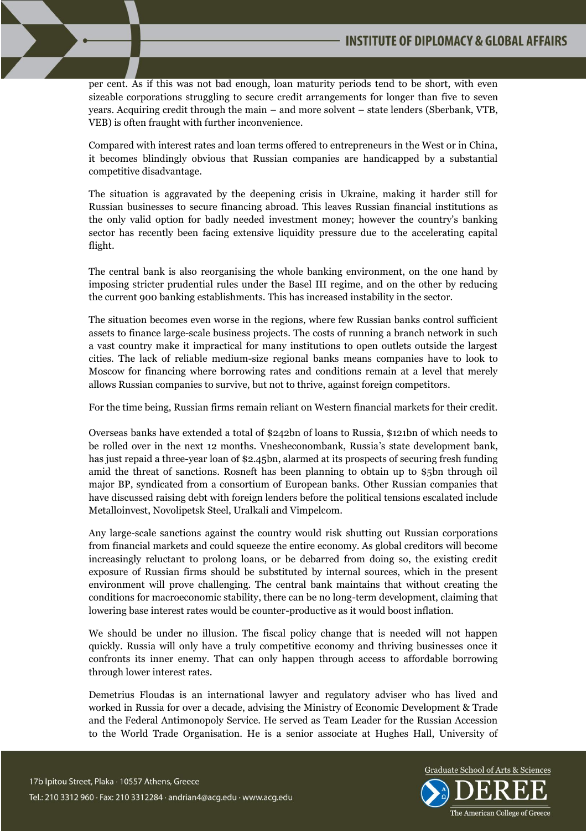

per cent. As if this was not bad enough, loan maturity periods tend to be short, with even sizeable corporations struggling to secure credit arrangements for longer than five to seven years. Acquiring credit through the main – and more solvent – state lenders (Sberbank, VTB, VEB) is often fraught with further inconvenience.

Compared with interest rates and loan terms offered to entrepreneurs in the West or in China, it becomes blindingly obvious that Russian companies are handicapped by a substantial competitive disadvantage.

The situation is aggravated by the deepening crisis in Ukraine, making it harder still for Russian businesses to secure financing abroad. This leaves Russian financial institutions as the only valid option for badly needed investment money; however the country's banking sector has recently been facing extensive liquidity pressure due to the accelerating capital flight.

The central bank is also reorganising the whole banking environment, on the one hand by imposing stricter prudential rules under the Basel III regime, and on the other by reducing the current 900 banking establishments. This has increased instability in the sector.

The situation becomes even worse in the regions, where few Russian banks control sufficient assets to finance large-scale business projects. The costs of running a branch network in such a vast country make it impractical for many institutions to open outlets outside the largest cities. The lack of reliable medium-size regional banks means companies have to look to Moscow for financing where borrowing rates and conditions remain at a level that merely allows Russian companies to survive, but not to thrive, against foreign competitors.

For the time being, Russian firms remain reliant on Western financial markets for their credit.

Overseas banks have extended a total of \$242bn of loans to Russia, \$121bn of which needs to be rolled over in the next 12 months. Vnesheconombank, Russia's state development bank, has just repaid a three-year loan of \$2.45bn, alarmed at its prospects of securing fresh funding amid the threat of sanctions. Rosneft has been planning to obtain up to \$5bn through oil major BP, syndicated from a consortium of European banks. Other Russian companies that have discussed raising debt with foreign lenders before the political tensions escalated include Metalloinvest, Novolipetsk Steel, Uralkali and Vimpelcom.

Any large-scale sanctions against the country would risk shutting out Russian corporations from financial markets and could squeeze the entire economy. As global creditors will become increasingly reluctant to prolong loans, or be debarred from doing so, the existing credit exposure of Russian firms should be substituted by internal sources, which in the present environment will prove challenging. The central bank maintains that without creating the conditions for macroeconomic stability, there can be no long-term development, claiming that lowering base interest rates would be counter-productive as it would boost inflation.

We should be under no illusion. The fiscal policy change that is needed will not happen quickly. Russia will only have a truly competitive economy and thriving businesses once it confronts its inner enemy. That can only happen through access to affordable borrowing through lower interest rates.

Demetrius Floudas is an international lawyer and regulatory adviser who has lived and worked in Russia for over a decade, advising the Ministry of Economic Development & Trade and the Federal Antimonopoly Service. He served as Team Leader for the Russian Accession to the World Trade Organisation. He is a senior associate at Hughes Hall, University of